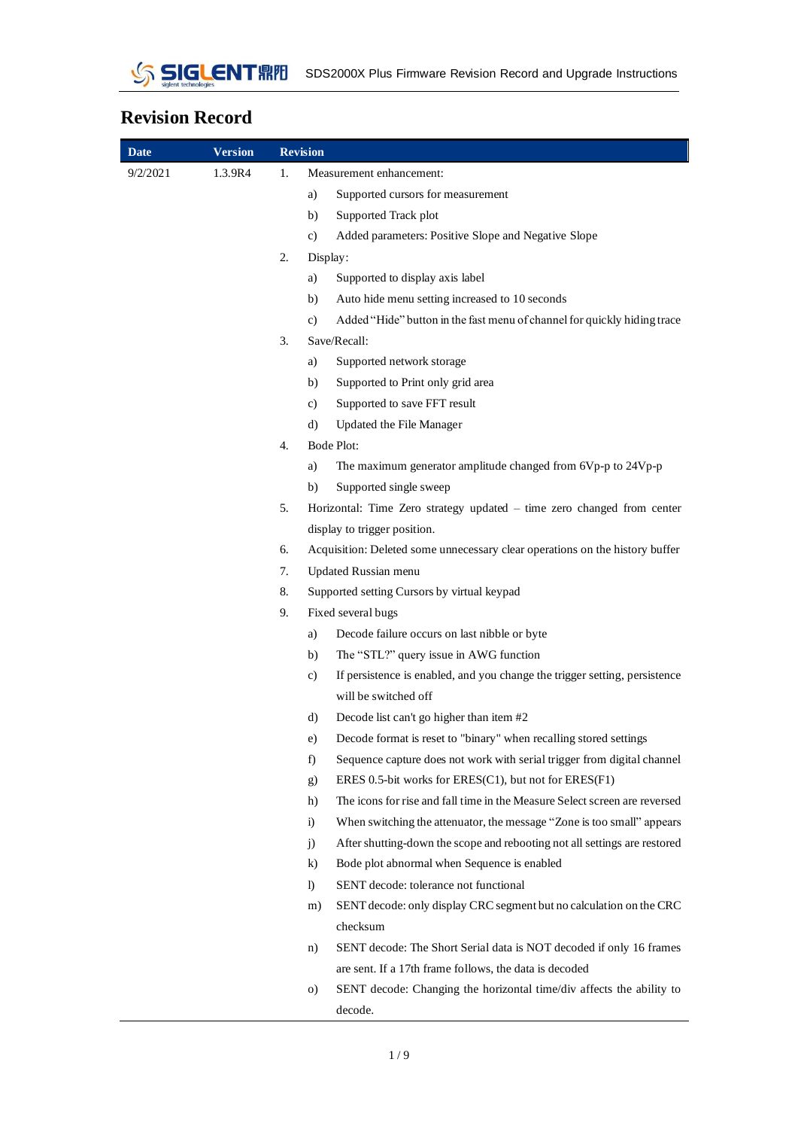

## **Revision Record**

| Date     | <b>Version</b> |    | <b>Revision</b>                                                                                          |
|----------|----------------|----|----------------------------------------------------------------------------------------------------------|
| 9/2/2021 | 1.3.9R4        | 1. | Measurement enhancement:                                                                                 |
|          |                |    | Supported cursors for measurement<br>a)                                                                  |
|          |                |    | Supported Track plot<br>b)                                                                               |
|          |                |    | Added parameters: Positive Slope and Negative Slope<br>c)                                                |
|          |                | 2. | Display:                                                                                                 |
|          |                |    | Supported to display axis label<br>a)                                                                    |
|          |                |    | Auto hide menu setting increased to 10 seconds<br>b)                                                     |
|          |                |    | Added "Hide" button in the fast menu of channel for quickly hiding trace<br>c)                           |
|          |                | 3. | Save/Recall:                                                                                             |
|          |                |    | Supported network storage<br>a)                                                                          |
|          |                |    | Supported to Print only grid area<br>b)                                                                  |
|          |                |    | Supported to save FFT result<br>c)                                                                       |
|          |                |    | Updated the File Manager<br>d)                                                                           |
|          |                | 4. | Bode Plot:                                                                                               |
|          |                |    | The maximum generator amplitude changed from 6Vp-p to 24Vp-p<br>a)                                       |
|          |                |    | Supported single sweep<br>b)                                                                             |
|          |                | 5. | Horizontal: Time Zero strategy updated - time zero changed from center                                   |
|          |                |    | display to trigger position.                                                                             |
|          |                | 6. | Acquisition: Deleted some unnecessary clear operations on the history buffer                             |
|          |                | 7. | Updated Russian menu                                                                                     |
|          |                | 8. | Supported setting Cursors by virtual keypad                                                              |
|          |                | 9. | Fixed several bugs                                                                                       |
|          |                |    | Decode failure occurs on last nibble or byte<br>a)                                                       |
|          |                |    | The "STL?" query issue in AWG function<br>b)                                                             |
|          |                |    | If persistence is enabled, and you change the trigger setting, persistence<br>c)<br>will be switched off |
|          |                |    | Decode list can't go higher than item #2<br>d)                                                           |
|          |                |    | Decode format is reset to "binary" when recalling stored settings<br>e)                                  |
|          |                |    | Sequence capture does not work with serial trigger from digital channel<br>f)                            |
|          |                |    | ERES 0.5-bit works for $ERES(C1)$ , but not for $ERES(F1)$<br>g)                                         |
|          |                |    | The icons for rise and fall time in the Measure Select screen are reversed<br>h)                         |
|          |                |    | When switching the attenuator, the message "Zone is too small" appears<br>$\ddot{1}$                     |
|          |                |    | After shutting-down the scope and rebooting not all settings are restored<br>j)                          |
|          |                |    | $\bf k$<br>Bode plot abnormal when Sequence is enabled                                                   |
|          |                |    | SENT decode: tolerance not functional<br>$\bf{D}$                                                        |
|          |                |    | SENT decode: only display CRC segment but no calculation on the CRC<br>m)                                |
|          |                |    | checksum                                                                                                 |
|          |                |    | SENT decode: The Short Serial data is NOT decoded if only 16 frames<br>n)                                |
|          |                |    | are sent. If a 17th frame follows, the data is decoded                                                   |
|          |                |    | SENT decode: Changing the horizontal time/div affects the ability to<br>$\circ$ )                        |
|          |                |    | decode.                                                                                                  |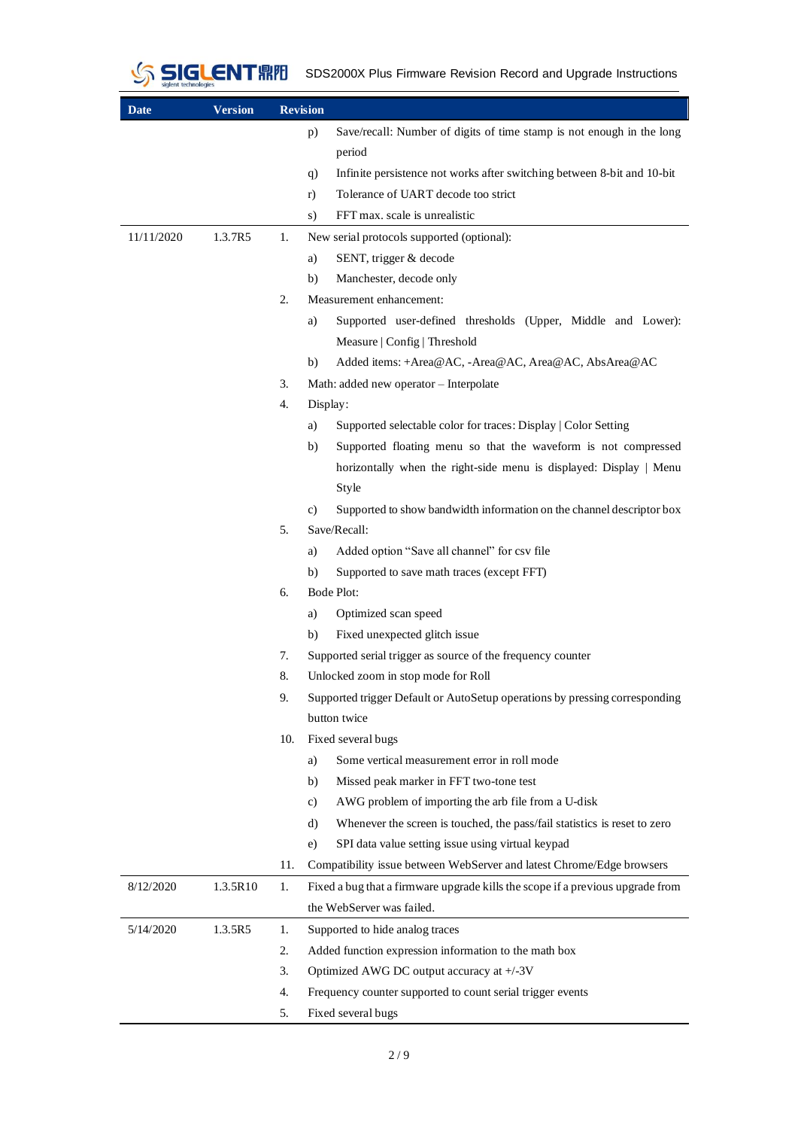

SIGLENT FIFIT SDS2000X Plus Firmware Revision Record and Upgrade Instructions

| <b>Date</b> | <b>Version</b> | <b>Revision</b> |          |                                                                                |
|-------------|----------------|-----------------|----------|--------------------------------------------------------------------------------|
|             |                |                 | p)       | Save/recall: Number of digits of time stamp is not enough in the long          |
|             |                |                 |          | period                                                                         |
|             |                |                 | q)       | Infinite persistence not works after switching between 8-bit and 10-bit        |
|             |                |                 | r)       | Tolerance of UART decode too strict                                            |
|             |                |                 | s)       | FFT max. scale is unrealistic                                                  |
| 11/11/2020  | 1.3.7R5        | 1.              |          | New serial protocols supported (optional):                                     |
|             |                |                 | a)       | SENT, trigger & decode                                                         |
|             |                |                 | b)       | Manchester, decode only                                                        |
|             |                | 2.              |          | Measurement enhancement:                                                       |
|             |                |                 | a)       | Supported user-defined thresholds (Upper, Middle and Lower):                   |
|             |                |                 |          | Measure   Config   Threshold                                                   |
|             |                |                 | b)       | Added items: +Area@AC, -Area@AC, Area@AC, AbsArea@AC                           |
|             |                | 3.              |          | Math: added new operator - Interpolate                                         |
|             |                | 4.              | Display: |                                                                                |
|             |                |                 | a)       | Supported selectable color for traces: Display   Color Setting                 |
|             |                |                 | b)       | Supported floating menu so that the waveform is not compressed                 |
|             |                |                 |          | horizontally when the right-side menu is displayed: Display   Menu             |
|             |                |                 |          | Style                                                                          |
|             |                |                 | C)       | Supported to show bandwidth information on the channel descriptor box          |
|             |                | 5.              |          | Save/Recall:                                                                   |
|             |                |                 | a)       | Added option "Save all channel" for csv file                                   |
|             |                |                 | b)       | Supported to save math traces (except FFT)                                     |
|             |                | 6.              |          | Bode Plot:                                                                     |
|             |                |                 | a)       | Optimized scan speed                                                           |
|             |                |                 | b)       | Fixed unexpected glitch issue                                                  |
|             |                | 7.              |          | Supported serial trigger as source of the frequency counter                    |
|             |                | 8.              |          | Unlocked zoom in stop mode for Roll                                            |
|             |                | 9.              |          | Supported trigger Default or AutoSetup operations by pressing corresponding    |
|             |                |                 |          | button twice                                                                   |
|             |                | 10.             |          | Fixed several bugs                                                             |
|             |                |                 | a)       | Some vertical measurement error in roll mode                                   |
|             |                |                 | b)       | Missed peak marker in FFT two-tone test                                        |
|             |                |                 | c)       | AWG problem of importing the arb file from a U-disk                            |
|             |                |                 | d)       | Whenever the screen is touched, the pass/fail statistics is reset to zero      |
|             |                |                 | e)       | SPI data value setting issue using virtual keypad                              |
|             |                | 11.             |          | Compatibility issue between WebServer and latest Chrome/Edge browsers          |
| 8/12/2020   | 1.3.5R10       | 1.              |          | Fixed a bug that a firmware upgrade kills the scope if a previous upgrade from |
|             |                |                 |          | the WebServer was failed.                                                      |
| 5/14/2020   | 1.3.5R5        | 1.              |          | Supported to hide analog traces                                                |
|             |                | 2.              |          | Added function expression information to the math box                          |
|             |                | 3.              |          | Optimized AWG DC output accuracy at +/-3V                                      |
|             |                | 4.              |          | Frequency counter supported to count serial trigger events                     |
|             |                | 5.              |          | Fixed several bugs                                                             |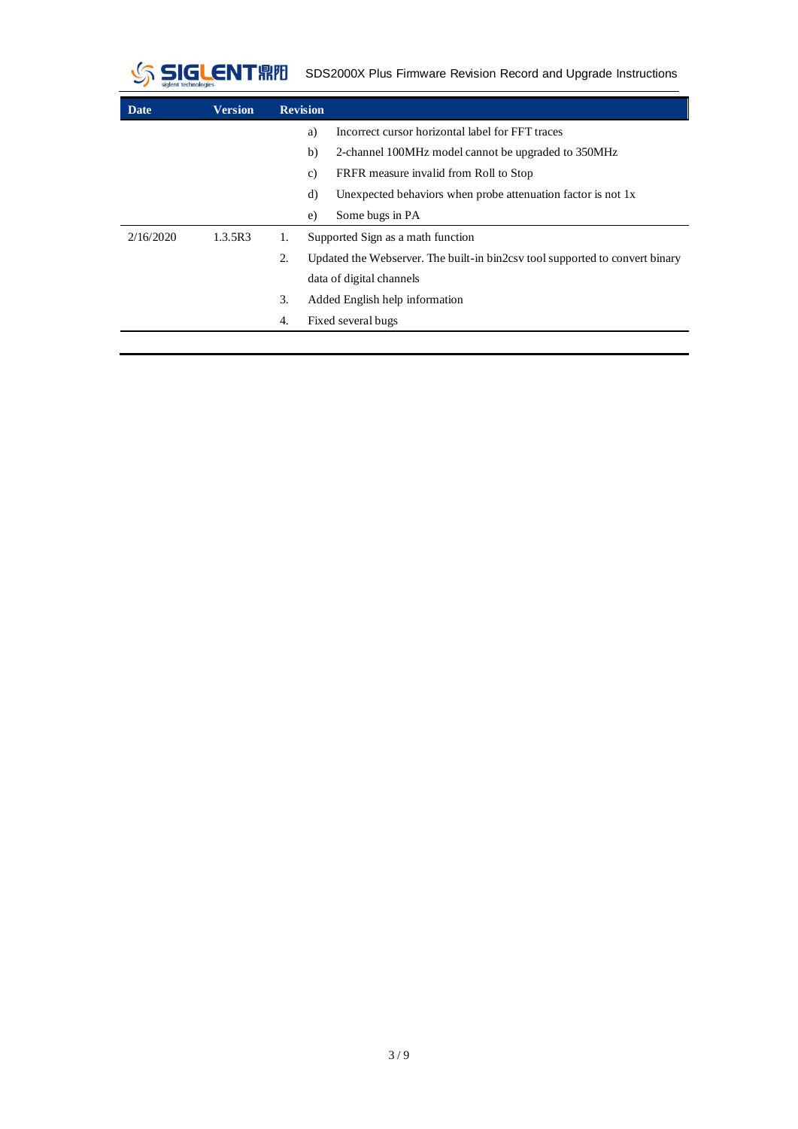

SIGLENT FIFIFI SDS2000X Plus Firmware Revision Record and Upgrade Instructions

| Date      | <b>Version</b> | <b>Revision</b> |                                                                             |
|-----------|----------------|-----------------|-----------------------------------------------------------------------------|
|           |                | a)              | Incorrect cursor horizontal label for FFT traces                            |
|           |                | b)              | 2-channel 100MHz model cannot be upgraded to 350MHz                         |
|           |                | C)              | FRFR measure invalid from Roll to Stop                                      |
|           |                | d)              | Unexpected behaviors when probe attenuation factor is not 1x.               |
|           |                | e)              | Some bugs in PA                                                             |
| 2/16/2020 | 1.3.5R3        | 1.              | Supported Sign as a math function                                           |
|           |                | 2.              | Updated the Webserver. The built-in bin2cs tool supported to convert binary |
|           |                |                 | data of digital channels                                                    |
|           |                | 3.              | Added English help information                                              |
|           |                | 4.              | Fixed several bugs                                                          |
|           |                |                 |                                                                             |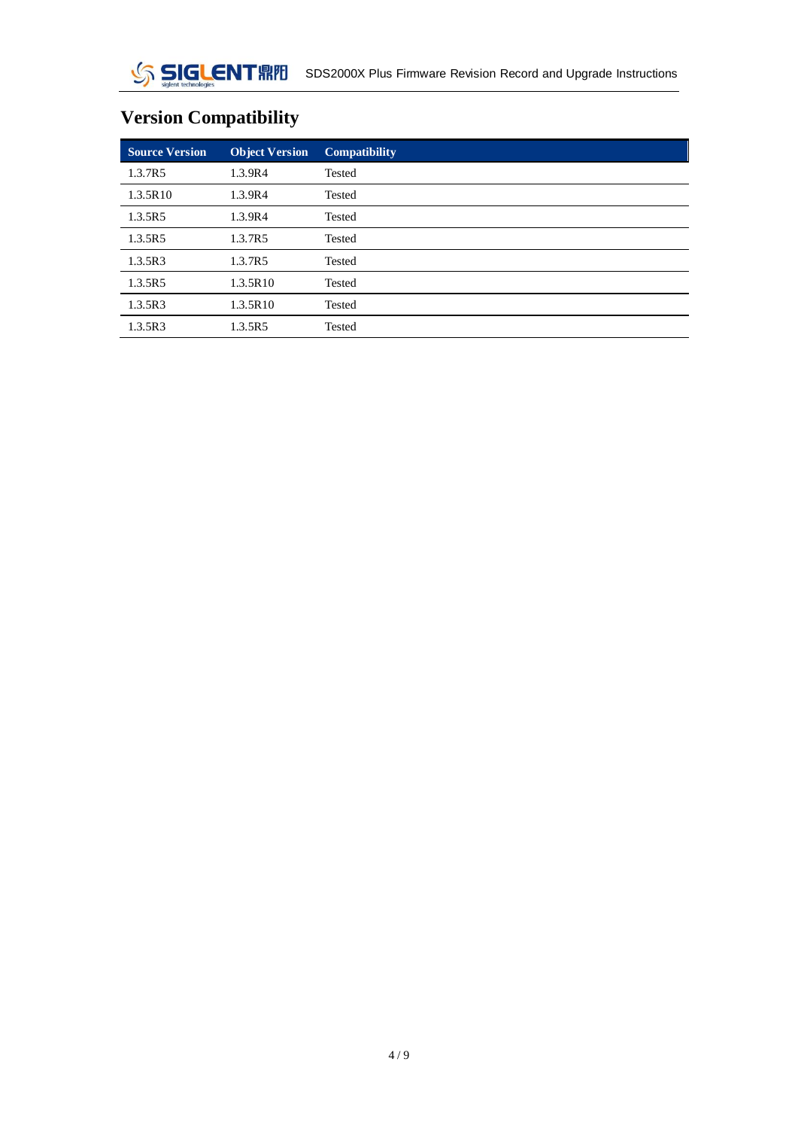# $\mathcal{S}$

## **Version Compatibility**

| <b>Source Version</b> | <b>Object Version</b> | <b>Compatibility</b> |
|-----------------------|-----------------------|----------------------|
| 1.3.7R5               | 1.3.9R4               | Tested               |
| 1.3.5R10              | 1.3.9R4               | <b>Tested</b>        |
| 1.3.5R5               | 1.3.9R4               | <b>Tested</b>        |
| 1.3.5R5               | 1.3.7R5               | Tested               |
| 1.3.5R3               | 1.3.7R5               | Tested               |
| 1.3.5R5               | 1.3.5R10              | Tested               |
| 1.3.5R3               | 1.3.5R10              | Tested               |
| 1.3.5R3               | 1.3.5R5               | Tested               |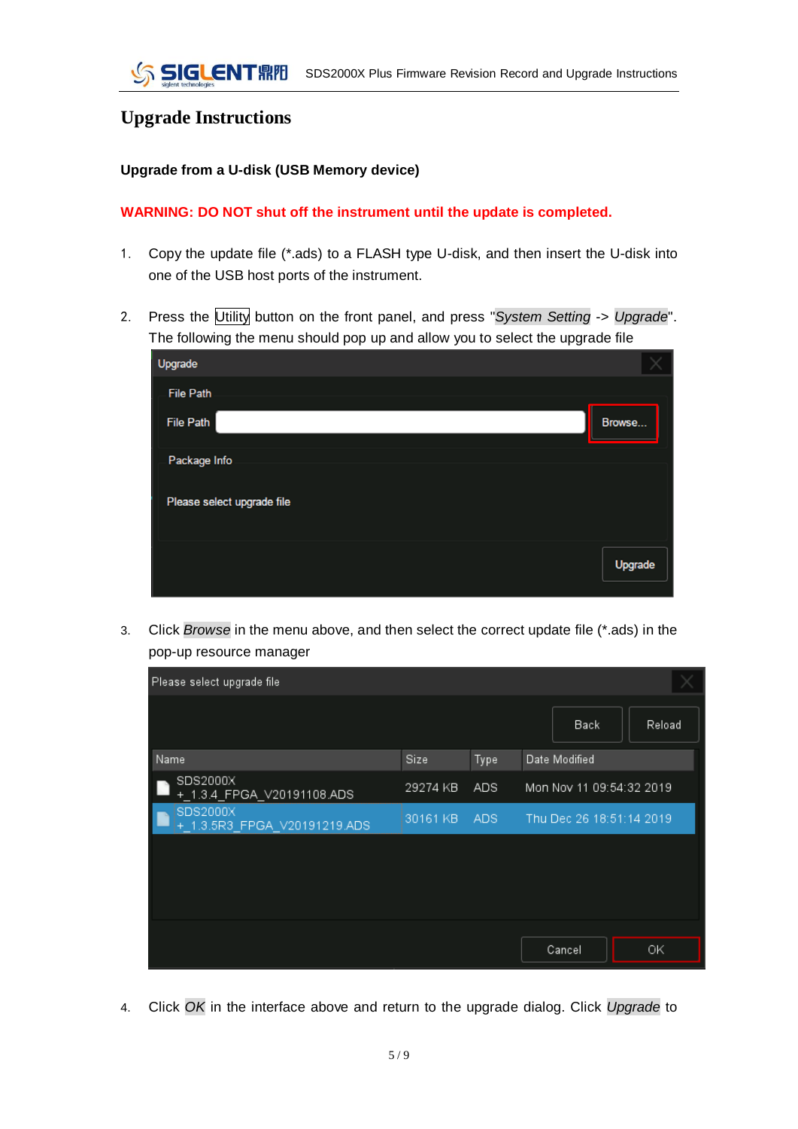### **Upgrade Instructions**

#### **Upgrade from a U-disk (USB Memory device)**

#### **WARNING: DO NOT shut off the instrument until the update is completed.**

- 1. Copy the update file (\*.ads) to a FLASH type U-disk, and then insert the U-disk into one of the USB host ports of the instrument.
- 2. Press the Utility button on the front panel, and press "*System Setting* -> *Upgrade*". The following the menu should pop up and allow you to select the upgrade file

| Upgrade                    |         |
|----------------------------|---------|
| <b>File Path</b>           |         |
| <b>File Path</b>           | Browse  |
| Package Info               |         |
| Please select upgrade file |         |
|                            |         |
|                            | Upgrade |
|                            |         |

3. Click *Browse* in the menu above, and then select the correct update file (\*.ads) in the pop-up resource manager

| Please select upgrade file               |          |      |                          |        |
|------------------------------------------|----------|------|--------------------------|--------|
|                                          |          |      | Back                     | Reload |
| Name                                     | Size     | Type | Date Modified            |        |
| SDS2000X<br>+_1.3.4_FPGA_V20191108.ADS   | 29274 KB | ADS  | Mon Nov 11 09:54:32 2019 |        |
| SDS2000X<br>+_1.3.5R3_FPGA_V20191219.ADS | 30161 KB | ADS. | Thu Dec 26 18:51:14 2019 |        |
|                                          |          |      |                          |        |
|                                          |          |      |                          |        |
|                                          |          |      |                          |        |
|                                          |          |      |                          |        |
|                                          |          |      | Cancel                   | ΟK     |

4. Click *OK* in the interface above and return to the upgrade dialog. Click *Upgrade* to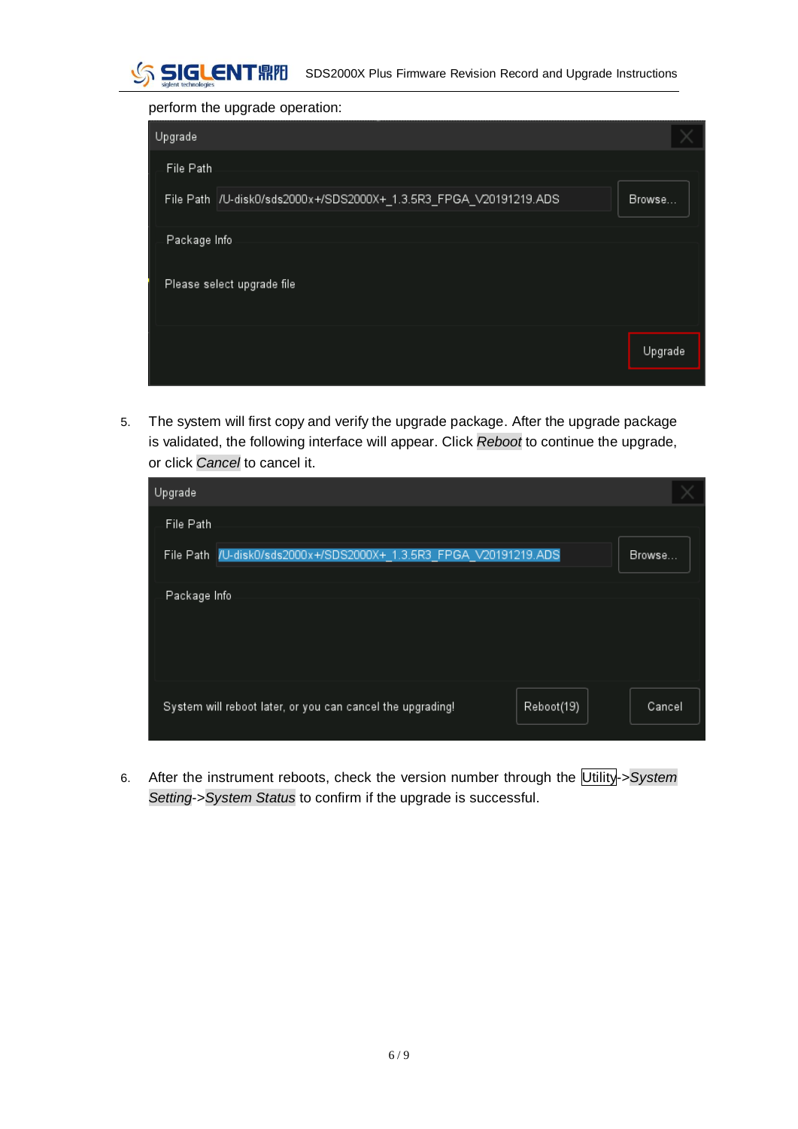

perform the upgrade operation:

| Upgrade      |                                                                    |         |
|--------------|--------------------------------------------------------------------|---------|
| File Path    |                                                                    |         |
|              | File Path  /U-disk0/sds2000x+/SDS2000X+_1.3.5R3_FPGA_V20191219.ADS | Browse  |
| Package Info |                                                                    |         |
|              | Please select upgrade file                                         |         |
|              |                                                                    | Upgrade |
|              |                                                                    |         |

5. The system will first copy and verify the upgrade package. After the upgrade package is validated, the following interface will appear. Click *Reboot* to continue the upgrade, or click *Cancel* to cancel it.

| Upgrade                                                                  |        |
|--------------------------------------------------------------------------|--------|
| File Path                                                                |        |
| File Path /U-disk0/sds2000x+/SDS2000X+_1.3.5R3_FPGA_V20191219.ADS        | Browse |
| Package Info                                                             |        |
| System will reboot later, or you can cancel the upgrading!<br>Reboot(19) | Cancel |

6. After the instrument reboots, check the version number through the Utility->*System Setting*->*System Status* to confirm if the upgrade is successful.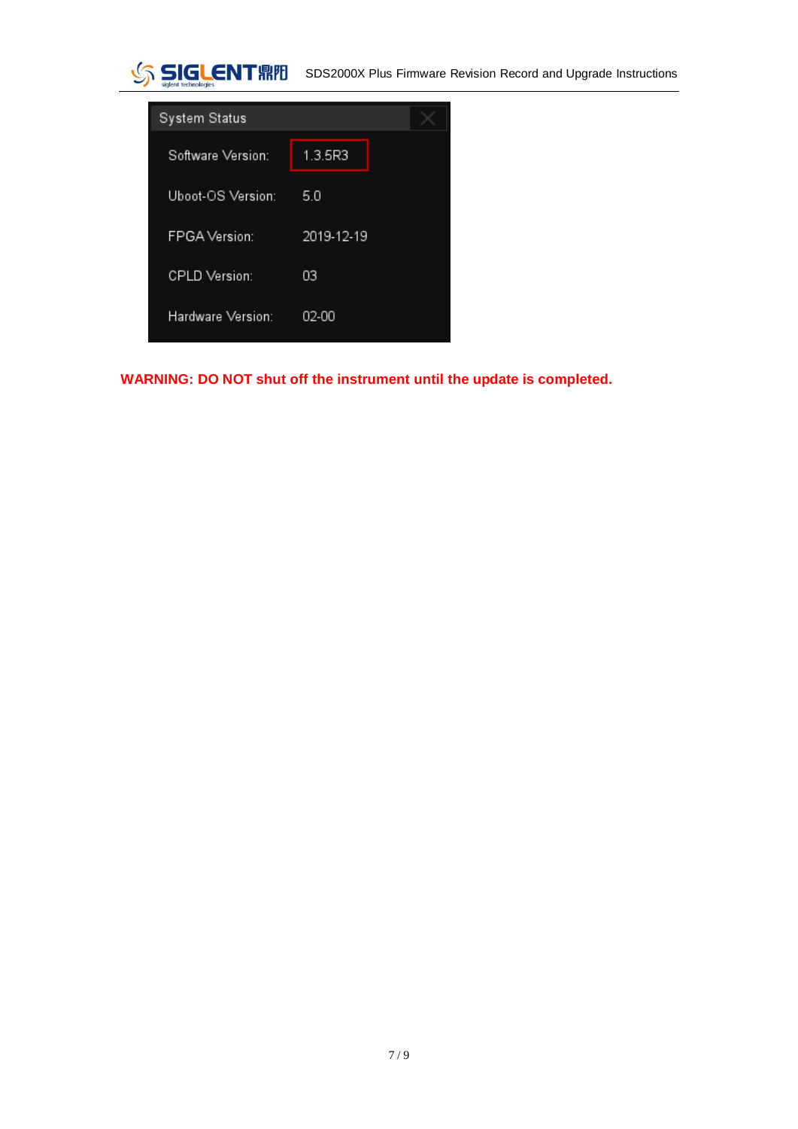



**WARNING: DO NOT shut off the instrument until the update is completed.**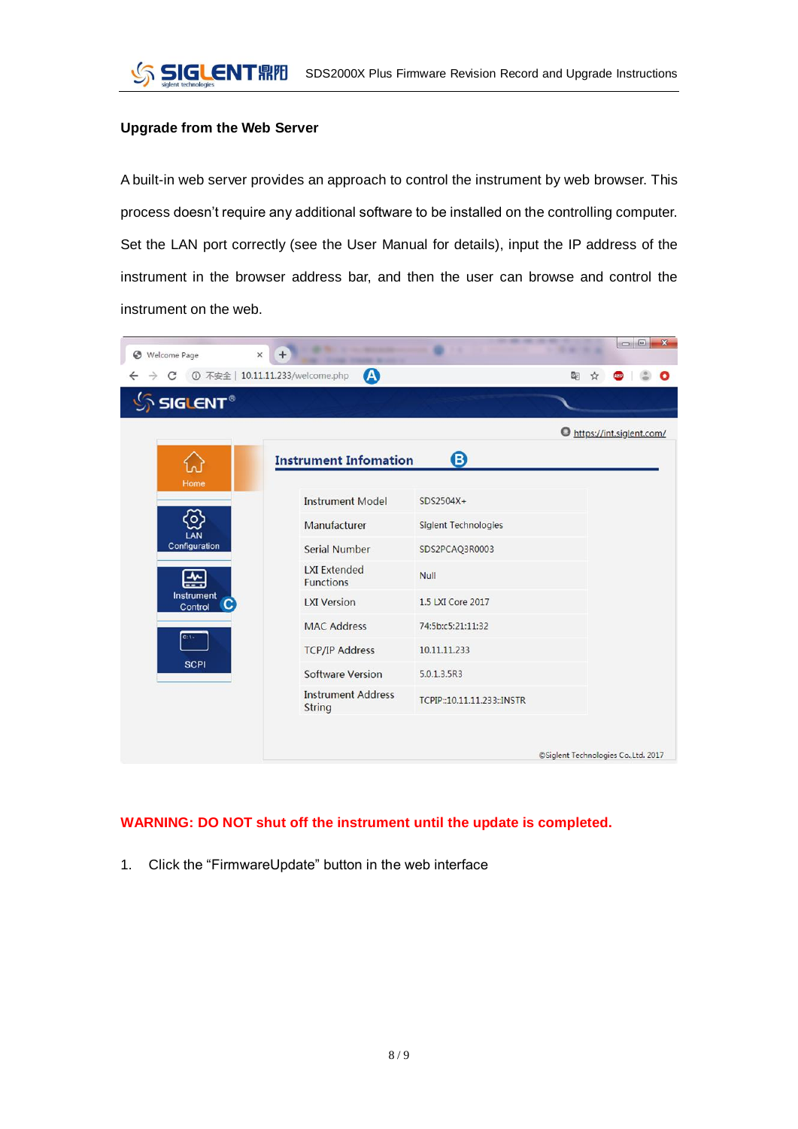#### **Upgrade from the Web Server**

A built-in web server provides an approach to control the instrument by web browser. This process doesn't require any additional software to be installed on the controlling computer. Set the LAN port correctly (see the User Manual for details), input the IP address of the instrument in the browser address bar, and then the user can browse and control the instrument on the web.

|                                    | A<br>① 不安全   10.11.11.233/welcome.php   |                             |                          |  |
|------------------------------------|-----------------------------------------|-----------------------------|--------------------------|--|
| $\frac{1}{2}$ SIGLENT <sup>®</sup> |                                         |                             |                          |  |
|                                    |                                         |                             | https://int.siglent.com/ |  |
|                                    | <b>Instrument Infomation</b>            | 0                           |                          |  |
| Home                               | <b>Instrument Model</b>                 | $SDS2504X+$                 |                          |  |
| $\circ$<br>LAN                     | Manufacturer                            | <b>Siglent Technologies</b> |                          |  |
| Configuration                      | <b>Serial Number</b>                    | SDS2PCAQ3R0003              |                          |  |
| 씀                                  | <b>LXI Extended</b><br><b>Functions</b> | <b>Null</b>                 |                          |  |
| Instrument<br>Control              | <b>LXI Version</b>                      | 1.5 LXI Core 2017           |                          |  |
| $C:1 -$                            | <b>MAC Address</b>                      | 74:5b:c5:21:11:32           |                          |  |
|                                    | <b>TCP/IP Address</b>                   | 10.11.11.233                |                          |  |
| <b>SCPI</b>                        | <b>Software Version</b>                 | 5.0.1.3.5R3                 |                          |  |
|                                    | <b>Instrument Address</b><br>String     | TCPIP::10.11.11.233::INSTR  |                          |  |

#### **WARNING: DO NOT shut off the instrument until the update is completed.**

1. Click the "FirmwareUpdate" button in the web interface